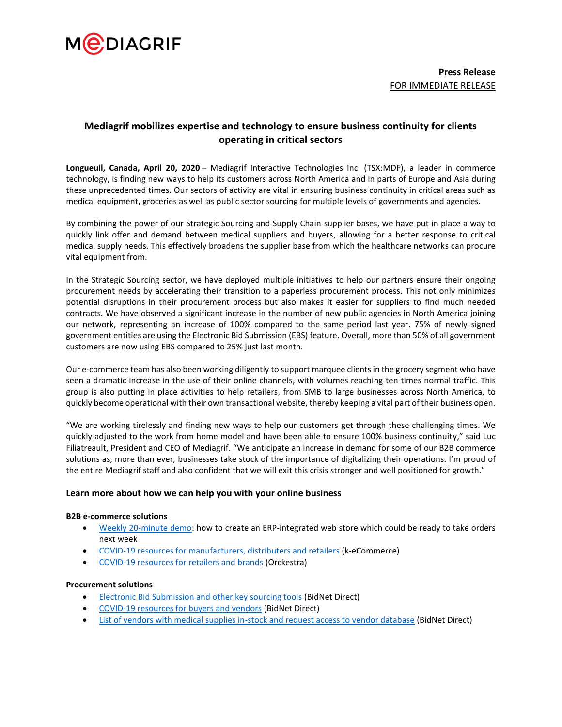

# **Mediagrif mobilizes expertise and technology to ensure business continuity for clients operating in critical sectors**

**Longueuil, Canada, April 20, 2020** – Mediagrif Interactive Technologies Inc. (TSX:MDF), a leader in commerce technology, is finding new ways to help its customers across North America and in parts of Europe and Asia during these unprecedented times. Our sectors of activity are vital in ensuring business continuity in critical areas such as medical equipment, groceries as well as public sector sourcing for multiple levels of governments and agencies.

By combining the power of our Strategic Sourcing and Supply Chain supplier bases, we have put in place a way to quickly link offer and demand between medical suppliers and buyers, allowing for a better response to critical medical supply needs. This effectively broadens the supplier base from which the healthcare networks can procure vital equipment from.

In the Strategic Sourcing sector, we have deployed multiple initiatives to help our partners ensure their ongoing procurement needs by accelerating their transition to a paperless procurement process. This not only minimizes potential disruptions in their procurement process but also makes it easier for suppliers to find much needed contracts. We have observed a significant increase in the number of new public agencies in North America joining our network, representing an increase of 100% compared to the same period last year. 75% of newly signed government entities are using the Electronic Bid Submission (EBS) feature. Overall, more than 50% of all government customers are now using EBS compared to 25% just last month.

Our e-commerce team has also been working diligently to support marquee clients in the grocery segment who have seen a dramatic increase in the use of their online channels, with volumes reaching ten times normal traffic. This group is also putting in place activities to help retailers, from SMB to large businesses across North America, to quickly become operational with their own transactional website, thereby keeping a vital part of their business open.

"We are working tirelessly and finding new ways to help our customers get through these challenging times. We quickly adjusted to the work from home model and have been able to ensure 100% business continuity," said Luc Filiatreault, President and CEO of Mediagrif. "We anticipate an increase in demand for some of our B2B commerce solutions as, more than ever, businesses take stock of the importance of digitalizing their operations. I'm proud of the entire Mediagrif staff and also confident that we will exit this crisis stronger and well positioned for growth."

## **Learn more about how we can help you with your online business**

## **B2B e-commerce solutions**

- [Weekly 20-minute demo:](https://www.k-ecommerce.com/interactive-demo?utm_medium=referral&utm_source=press_release&utm_content=en&utm_campaign=COVID-19-MDF) how to create an ERP-integrated web store which could be ready to take orders next week
- [COVID-19 resources for manufacturers, distributers and retailers](https://www.k-ecommerce.com/resources/covid19?utm_medium=referral&utm_source=press_release&utm_content=en&utm_campaign=COVID-19-MDF) (k-eCommerce)
- [COVID-19 resources for retailers and brands](https://www.orckestra.com/en/covid-19-resources-for-retailers-and-brands?utm_medium=referral&utm_source=press_release&utm_content=en&utm_campaign=COVID-19-MDF) (Orckestra)

## **Procurement solutions**

- [Electronic Bid Submission and other key sourcing tools](https://www.bidnetdirect.com/buyers?utm_medium=referral&utm_source=press_release&utm_content=en&utm_campaign=COVID-19-MDF) (BidNet Direct)
- [COVID-19 resources for buyers and vendors](http://faq.bidnetdirect.com/covid19/?utm_medium=referral&utm_source=press_release&utm_content=en&utm_campaign=COVID-19-MDF) (BidNet Direct)
- [List of vendors with medical supplies in-stock and request access to vendor database](https://bideval.bidnetdirect.com/medical-supply-needs-1/?utm_medium=referral&utm_source=press_release&utm_content=en&utm_campaign=COVID-19-MDF) (BidNet Direct)